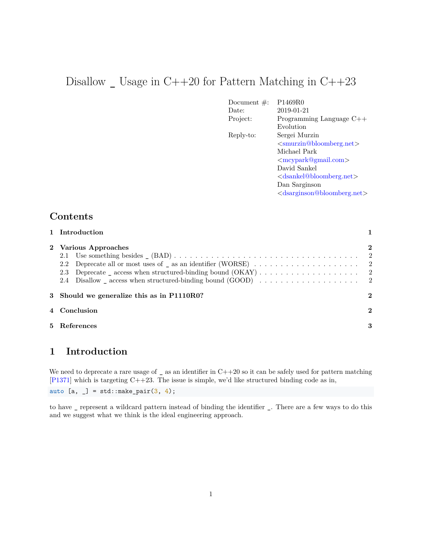# Disallow  $\_$  Usage in C++20 for Pattern Matching in C++23

| Document $#$ : | P <sub>1469</sub> R <sub>0</sub>             |
|----------------|----------------------------------------------|
| Date:          | 2019-01-21                                   |
| Project:       | Programming Language $C++$                   |
|                | Evolution                                    |
| Reply-to:      | Sergei Murzin                                |
|                | $\leq$ smurzin@bloomberg.net>                |
|                | Michael Park                                 |
|                | $\langle$ mcypark@gmail.com $\rangle$        |
|                | David Sankel                                 |
|                | $\langle$ dsankel@bloomberg.net $\rangle$    |
|                | Dan Sarginson                                |
|                | $\langle$ dsarginson@bloomberg.net $\rangle$ |

## **Contents**

| 1 Introduction                               |          |
|----------------------------------------------|----------|
| 2 Various Approaches<br>$2.2^{\circ}$<br>2.3 | 2        |
| 3 Should we generalize this as in P1110R0?   | $\bf{2}$ |
| 4 Conclusion                                 | $\bf{2}$ |
| 5 References                                 | 3        |

## <span id="page-0-0"></span>**1 Introduction**

We need to deprecate a rare usage of  $\Box$  as an identifier in C++20 so it can be safely used for pattern matching [\[P1371\]](#page-2-1) which is targeting C++23. The issue is simple, we'd like structured binding code as in,

auto  $[a, ] = std::make\_pair(3, 4);$ 

to have \_ represent a wildcard pattern instead of binding the identifier \_. There are a few ways to do this and we suggest what we think is the ideal engineering approach.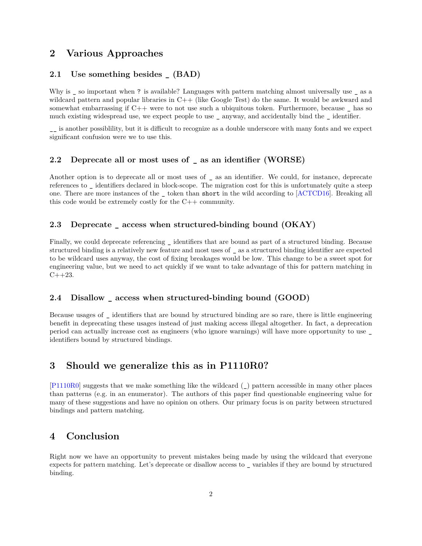### <span id="page-1-0"></span>**2 Various Approaches**

#### <span id="page-1-1"></span>**2.1 Use something besides \_ (BAD)**

Why is \_ so important when ? is available? Languages with pattern matching almost universally use \_ as a wildcard pattern and popular libraries in C++ (like Google Test) do the same. It would be awkward and somewhat embarrassing if  $C++$  were to not use such a ubiquitous token. Furthermore, because  $\Box$  has so much existing widespread use, we expect people to use \_ anyway, and accidentally bind the \_ identifier.

\_\_ is another possiblility, but it is difficult to recognize as a double underscore with many fonts and we expect significant confusion were we to use this.

#### <span id="page-1-2"></span>**2.2 Deprecate all or most uses of \_ as an identifier (WORSE)**

Another option is to deprecate all or most uses of \_ as an identifier. We could, for instance, deprecate references to \_ identifiers declared in block-scope. The migration cost for this is unfortunately quite a steep one. There are more instances of the \_ token than short in the wild according to [\[ACTCD16\]](#page-2-2). Breaking all this code would be extremely costly for the C++ community.

#### <span id="page-1-3"></span>**2.3 Deprecate \_ access when structured-binding bound (OKAY)**

Finally, we could deprecate referencing \_ identifiers that are bound as part of a structured binding. Because structured binding is a relatively new feature and most uses of \_ as a structured binding identifier are expected to be wildcard uses anyway, the cost of fixing breakages would be low. This change to be a sweet spot for engineering value, but we need to act quickly if we want to take advantage of this for pattern matching in  $C++23.$ 

#### <span id="page-1-4"></span>**2.4 Disallow \_ access when structured-binding bound (GOOD)**

Because usages of \_ identifiers that are bound by structured binding are so rare, there is little engineering benefit in deprecating these usages instead of just making access illegal altogether. In fact, a deprecation period can actually increase cost as engineers (who ignore warnings) will have more opportunity to use \_ identifiers bound by structured bindings.

### <span id="page-1-5"></span>**3 Should we generalize this as in P1110R0?**

[\[P1110R0\]](#page-2-3) suggests that we make something like the wildcard (\_) pattern accessible in many other places than patterns (e.g. in an enumerator). The authors of this paper find questionable engineering value for many of these suggestions and have no opinion on others. Our primary focus is on parity between structured bindings and pattern matching.

## <span id="page-1-6"></span>**4 Conclusion**

Right now we have an opportunity to prevent mistakes being made by using the wildcard that everyone expects for pattern matching. Let's deprecate or disallow access to \_ variables if they are bound by structured binding.